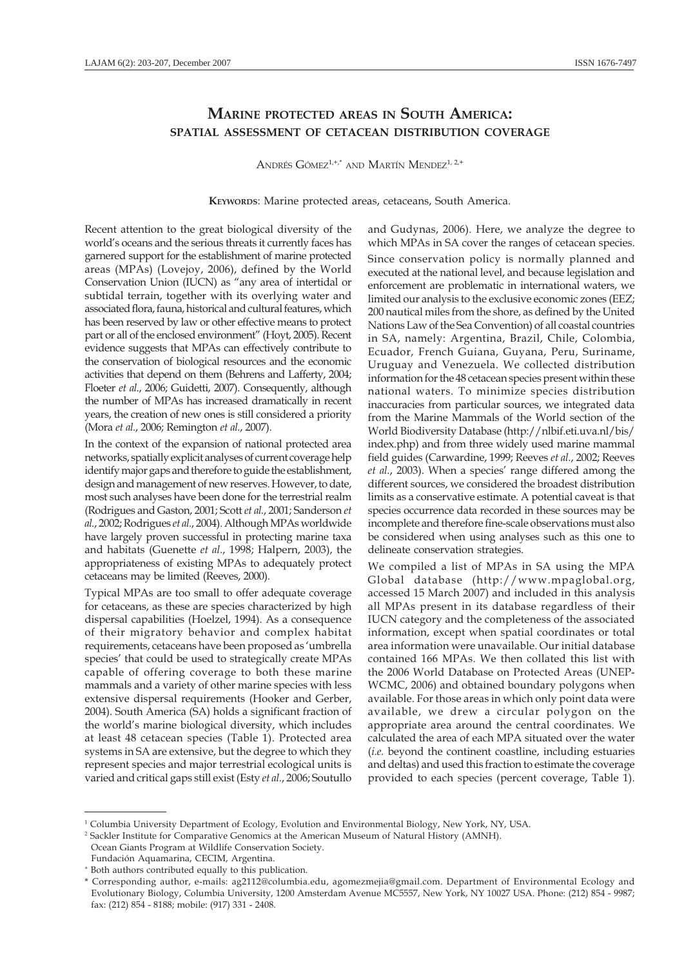## MARINE PROTECTED AREAS IN SOUTH AMERICA: SPATIAL ASSESSMENT OF CETACEAN DISTRIBUTION COVERAGE

ANDRÉS GÓMEZ<sup>1,+,\*</sup> AND MARTÍN MENDEZ<sup>1, 2,+</sup>

KEYWORDS: Marine protected areas, cetaceans, South America.

Recent attention to the great biological diversity of the world's oceans and the serious threats it currently faces has garnered support for the establishment of marine protected areas (MPAs) (Lovejoy, 2006), defined by the World Conservation Union (IUCN) as "any area of intertidal or subtidal terrain, together with its overlying water and associated flora, fauna, historical and cultural features, which has been reserved by law or other effective means to protect part or all of the enclosed environment" (Hoyt, 2005). Recent evidence suggests that MPAs can effectively contribute to the conservation of biological resources and the economic activities that depend on them (Behrens and Lafferty, 2004; Floeter et al., 2006; Guidetti, 2007). Consequently, although the number of MPAs has increased dramatically in recent years, the creation of new ones is still considered a priority (Mora et al., 2006; Remington et al., 2007).

In the context of the expansion of national protected area networks, spatially explicit analyses of current coverage help identify major gaps and therefore to guide the establishment, design and management of new reserves. However, to date, most such analyses have been done for the terrestrial realm (Rodrigues and Gaston, 2001; Scott et al., 2001; Sanderson et al., 2002; Rodrigues et al., 2004). Although MPAs worldwide have largely proven successful in protecting marine taxa and habitats (Guenette et al., 1998; Halpern, 2003), the appropriateness of existing MPAs to adequately protect cetaceans may be limited (Reeves, 2000).

Typical MPAs are too small to offer adequate coverage for cetaceans, as these are species characterized by high dispersal capabilities (Hoelzel, 1994). As a consequence of their migratory behavior and complex habitat requirements, cetaceans have been proposed as 'umbrella species' that could be used to strategically create MPAs capable of offering coverage to both these marine mammals and a variety of other marine species with less extensive dispersal requirements (Hooker and Gerber, 2004). South America (SA) holds a significant fraction of the world's marine biological diversity, which includes at least 48 cetacean species (Table 1). Protected area systems in SA are extensive, but the degree to which they represent species and major terrestrial ecological units is varied and critical gaps still exist (Esty et al., 2006; Soutullo

and Gudynas, 2006). Here, we analyze the degree to which MPAs in SA cover the ranges of cetacean species. Since conservation policy is normally planned and executed at the national level, and because legislation and enforcement are problematic in international waters, we limited our analysis to the exclusive economic zones (EEZ; 200 nautical miles from the shore, as defined by the United Nations Law of the Sea Convention) of all coastal countries in SA, namely: Argentina, Brazil, Chile, Colombia, Ecuador, French Guiana, Guyana, Peru, Suriname, Uruguay and Venezuela. We collected distribution information for the 48 cetacean species present within these national waters. To minimize species distribution inaccuracies from particular sources, we integrated data from the Marine Mammals of the World section of the World Biodiversity Database (http://nlbif.eti.uva.nl/bis/ index.php) and from three widely used marine mammal field guides (Carwardine, 1999; Reeves et al., 2002; Reeves et al., 2003). When a species' range differed among the different sources, we considered the broadest distribution limits as a conservative estimate. A potential caveat is that species occurrence data recorded in these sources may be incomplete and therefore fine-scale observations must also be considered when using analyses such as this one to delineate conservation strategies.

We compiled a list of MPAs in SA using the MPA Global database (http://www.mpaglobal.org, accessed 15 March 2007) and included in this analysis all MPAs present in its database regardless of their IUCN category and the completeness of the associated information, except when spatial coordinates or total area information were unavailable. Our initial database contained 166 MPAs. We then collated this list with the 2006 World Database on Protected Areas (UNEP-WCMC, 2006) and obtained boundary polygons when available. For those areas in which only point data were available, we drew a circular polygon on the appropriate area around the central coordinates. We calculated the area of each MPA situated over the water (i.e. beyond the continent coastline, including estuaries and deltas) and used this fraction to estimate the coverage provided to each species (percent coverage, Table 1).

Ocean Giants Program at Wildlife Conservation Society.

Fundación Aquamarina, CECIM, Argentina.

<sup>1</sup> Columbia University Department of Ecology, Evolution and Environmental Biology, New York, NY, USA.

<sup>2</sup> Sackler Institute for Comparative Genomics at the American Museum of Natural History (AMNH).

<sup>+</sup> Both authors contributed equally to this publication.

<sup>\*</sup> Corresponding author, e-mails: ag2112@columbia.edu, agomezmejia@gmail.com. Department of Environmental Ecology and Evolutionary Biology, Columbia University, 1200 Amsterdam Avenue MC5557, New York, NY 10027 USA. Phone: (212) 854 - 9987; fax: (212) 854 - 8188; mobile: (917) 331 - 2408.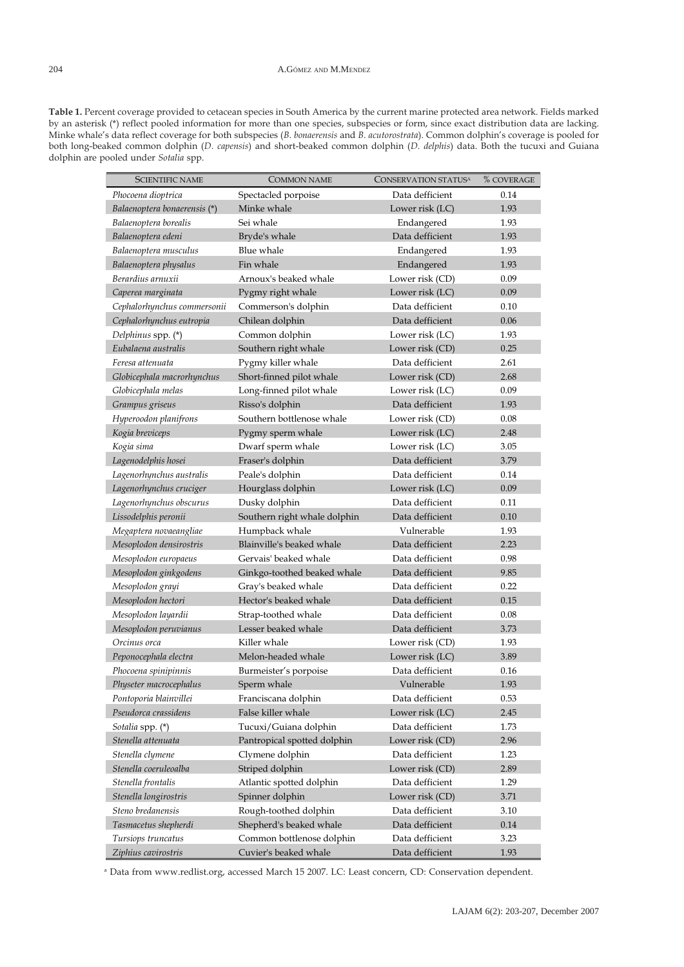Table 1. Percent coverage provided to cetacean species in South America by the current marine protected area network. Fields marked by an asterisk (\*) reflect pooled information for more than one species, subspecies or form, since exact distribution data are lacking. Minke whale's data reflect coverage for both subspecies (B. bonaerensis and B. acutorostrata). Common dolphin's coverage is pooled for both long-beaked common dolphin (D. capensis) and short-beaked common dolphin (D. delphis) data. Both the tucuxi and Guiana dolphin are pooled under Sotalia spp.

| <b>SCIENTIFIC NAME</b>       | <b>COMMON NAME</b>           | CONSERVATION STATUS <sup>A</sup> | % COVERAGE |
|------------------------------|------------------------------|----------------------------------|------------|
| Phocoena dioptrica           | Spectacled porpoise          | Data defficient                  | 0.14       |
| Balaenoptera bonaerensis (*) | Minke whale                  | Lower risk (LC)                  | 1.93       |
| Balaenoptera borealis        | Sei whale                    | Endangered                       | 1.93       |
| Balaenoptera edeni           | Bryde's whale                | Data defficient                  | 1.93       |
| Balaenoptera musculus        | Blue whale                   | Endangered                       | 1.93       |
| Balaenoptera physalus        | Fin whale                    | Endangered                       | 1.93       |
| Berardius arnuxii            | Arnoux's beaked whale        | Lower risk (CD)                  | 0.09       |
| Caperea marginata            | Pygmy right whale            | Lower risk (LC)                  | 0.09       |
| Cephalorhynchus commersonii  | Commerson's dolphin          | Data defficient                  | 0.10       |
| Cephalorhynchus eutropia     | Chilean dolphin              | Data defficient                  | 0.06       |
| Delphinus spp. (*)           | Common dolphin               | Lower risk (LC)                  | 1.93       |
| Eubalaena australis          | Southern right whale         | Lower risk (CD)                  | 0.25       |
| Feresa attenuata             | Pygmy killer whale           | Data defficient                  | 2.61       |
| Globicephala macrorhynchus   | Short-finned pilot whale     | Lower risk (CD)                  | 2.68       |
| Globicephala melas           | Long-finned pilot whale      | Lower risk (LC)                  | 0.09       |
| Grampus griseus              | Risso's dolphin              | Data defficient                  | 1.93       |
| Hyperoodon planifrons        | Southern bottlenose whale    | Lower risk (CD)                  | 0.08       |
| Kogia breviceps              | Pygmy sperm whale            | Lower risk (LC)                  | 2.48       |
| Kogia sima                   | Dwarf sperm whale            | Lower risk (LC)                  | 3.05       |
| Lagenodelphis hosei          | Fraser's dolphin             | Data defficient                  | 3.79       |
| Lagenorhynchus australis     | Peale's dolphin              | Data defficient                  | 0.14       |
| Lagenorhynchus cruciger      | Hourglass dolphin            | Lower risk (LC)                  | 0.09       |
| Lagenorhynchus obscurus      | Dusky dolphin                | Data defficient                  | 0.11       |
| Lissodelphis peronii         | Southern right whale dolphin | Data defficient                  | 0.10       |
| Megaptera novaeangliae       | Humpback whale               | Vulnerable                       | 1.93       |
| Mesoplodon densirostris      | Blainville's beaked whale    | Data defficient                  | 2.23       |
| Mesoplodon europaeus         | Gervais' beaked whale        | Data defficient                  | 0.98       |
| Mesoplodon ginkgodens        | Ginkgo-toothed beaked whale  | Data defficient                  | 9.85       |
| Mesoplodon grayi             | Gray's beaked whale          | Data defficient                  | 0.22       |
| Mesoplodon hectori           | Hector's beaked whale        | Data defficient                  | 0.15       |
| Mesoplodon layardii          | Strap-toothed whale          | Data defficient                  | 0.08       |
| Mesoplodon peruvianus        | Lesser beaked whale          | Data defficient                  | 3.73       |
| Orcinus orca                 | Killer whale                 | Lower risk (CD)                  | 1.93       |
| Peponocephala electra        | Melon-headed whale           | Lower risk (LC)                  | 3.89       |
| Phocoena spinipinnis         | Burmeister's porpoise        | Data defficient                  | 0.16       |
| Physeter macrocephalus       | Sperm whale                  | Vulnerable                       | 1.93       |
| Pontoporia blainvillei       | Franciscana dolphin          | Data defficient                  | 0.53       |
| Pseudorca crassidens         | False killer whale           | Lower risk (LC)                  | 2.45       |
| Sotalia spp. (*)             | Tucuxi/Guiana dolphin        | Data defficient                  | 1.73       |
| Stenella attenuata           | Pantropical spotted dolphin  | Lower risk (CD)                  | 2.96       |
| Stenella clymene             | Clymene dolphin              | Data defficient                  | 1.23       |
| Stenella coeruleoalba        | Striped dolphin              | Lower risk (CD)                  | 2.89       |
| Stenella frontalis           | Atlantic spotted dolphin     | Data defficient                  | 1.29       |
| Stenella longirostris        | Spinner dolphin              | Lower risk (CD)                  | 3.71       |
| Steno bredanensis            | Rough-toothed dolphin        | Data defficient                  | 3.10       |
| Tasmacetus shepherdi         | Shepherd's beaked whale      | Data defficient                  | 0.14       |
| Tursiops truncatus           | Common bottlenose dolphin    | Data defficient                  | 3.23       |
| Ziphius cavirostris          | Cuvier's beaked whale        | Data defficient                  | 1.93       |

a Data from www.redlist.org, accessed March 15 2007. LC: Least concern, CD: Conservation dependent.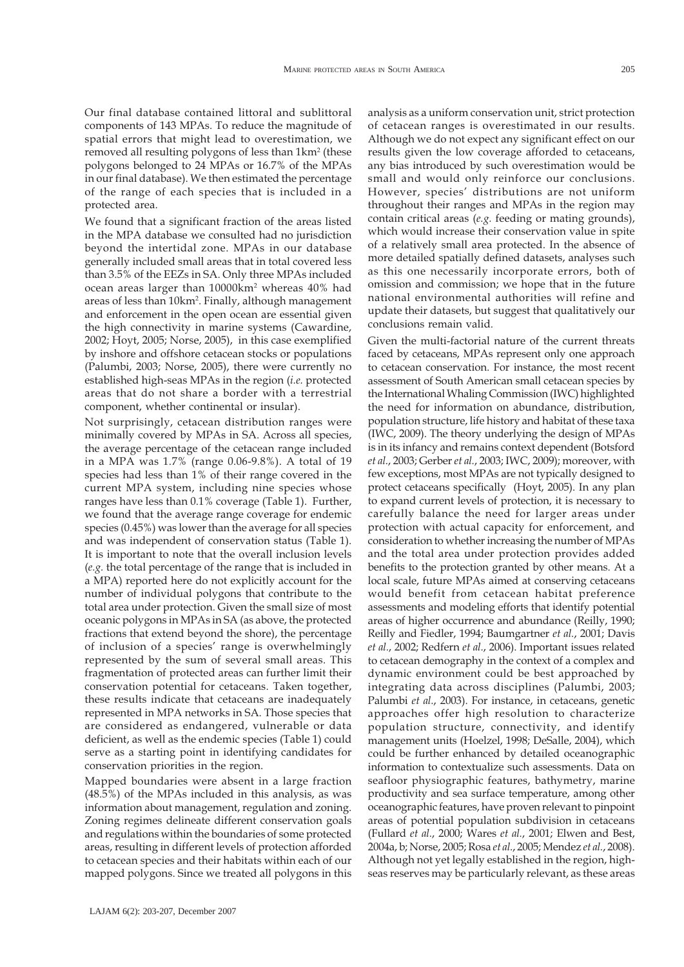conservation priorities in the region.

Mapped boundaries were absent in a large fraction (48.5%) of the MPAs included in this analysis, as was information about management, regulation and zoning. Zoning regimes delineate different conservation goals and regulations within the boundaries of some protected areas, resulting in different levels of protection afforded

Our final database contained littoral and sublittoral components of 143 MPAs. To reduce the magnitude of spatial errors that might lead to overestimation, we removed all resulting polygons of less than 1km² (these polygons belonged to 24 MPAs or 16.7% of the MPAs in our final database). We then estimated the percentage of the range of each species that is included in a

We found that a significant fraction of the areas listed in the MPA database we consulted had no jurisdiction beyond the intertidal zone. MPAs in our database generally included small areas that in total covered less than 3.5% of the EEZs in SA. Only three MPAs included ocean areas larger than  $10000 \rm km^2$  whereas  $40\%$  had areas of less than 10km². Finally, although management and enforcement in the open ocean are essential given the high connectivity in marine systems (Cawardine, 2002; Hoyt, 2005; Norse, 2005), in this case exemplified by inshore and offshore cetacean stocks or populations (Palumbi, 2003; Norse, 2005), there were currently no established high-seas MPAs in the region (i.e. protected areas that do not share a border with a terrestrial

component, whether continental or insular).

Not surprisingly, cetacean distribution ranges were minimally covered by MPAs in SA. Across all species, the average percentage of the cetacean range included in a MPA was 1.7% (range 0.06-9.8%). A total of 19 species had less than 1% of their range covered in the current MPA system, including nine species whose ranges have less than 0.1% coverage (Table 1). Further, we found that the average range coverage for endemic species (0.45%) was lower than the average for all species and was independent of conservation status (Table 1). It is important to note that the overall inclusion levels (e.g. the total percentage of the range that is included in a MPA) reported here do not explicitly account for the number of individual polygons that contribute to the total area under protection. Given the small size of most oceanic polygons in MPAs in SA (as above, the protected fractions that extend beyond the shore), the percentage of inclusion of a species' range is overwhelmingly represented by the sum of several small areas. This fragmentation of protected areas can further limit their conservation potential for cetaceans. Taken together, these results indicate that cetaceans are inadequately represented in MPA networks in SA. Those species that are considered as endangered, vulnerable or data deficient, as well as the endemic species (Table 1) could serve as a starting point in identifying candidates for

protected area.

analysis as a uniform conservation unit, strict protection of cetacean ranges is overestimated in our results. Although we do not expect any significant effect on our results given the low coverage afforded to cetaceans, any bias introduced by such overestimation would be small and would only reinforce our conclusions. However, species' distributions are not uniform throughout their ranges and MPAs in the region may contain critical areas (e.g. feeding or mating grounds), which would increase their conservation value in spite of a relatively small area protected. In the absence of more detailed spatially defined datasets, analyses such as this one necessarily incorporate errors, both of omission and commission; we hope that in the future national environmental authorities will refine and update their datasets, but suggest that qualitatively our conclusions remain valid.

Given the multi-factorial nature of the current threats faced by cetaceans, MPAs represent only one approach to cetacean conservation. For instance, the most recent assessment of South American small cetacean species by the International Whaling Commission (IWC) highlighted the need for information on abundance, distribution, population structure, life history and habitat of these taxa (IWC, 2009). The theory underlying the design of MPAs is in its infancy and remains context dependent (Botsford et al., 2003; Gerber et al., 2003; IWC, 2009); moreover, with few exceptions, most MPAs are not typically designed to protect cetaceans specifically (Hoyt, 2005). In any plan to expand current levels of protection, it is necessary to carefully balance the need for larger areas under protection with actual capacity for enforcement, and consideration to whether increasing the number of MPAs and the total area under protection provides added benefits to the protection granted by other means. At a local scale, future MPAs aimed at conserving cetaceans would benefit from cetacean habitat preference assessments and modeling efforts that identify potential areas of higher occurrence and abundance (Reilly, 1990; Reilly and Fiedler, 1994; Baumgartner et al., 2001; Davis et al., 2002; Redfern et al., 2006). Important issues related to cetacean demography in the context of a complex and dynamic environment could be best approached by integrating data across disciplines (Palumbi, 2003; Palumbi et al., 2003). For instance, in cetaceans, genetic approaches offer high resolution to characterize population structure, connectivity, and identify management units (Hoelzel, 1998; DeSalle, 2004), which could be further enhanced by detailed oceanographic information to contextualize such assessments. Data on seafloor physiographic features, bathymetry, marine productivity and sea surface temperature, among other oceanographic features, have proven relevant to pinpoint areas of potential population subdivision in cetaceans (Fullard et al., 2000; Wares et al., 2001; Elwen and Best, 2004a, b; Norse, 2005; Rosa et al., 2005; Mendez et al., 2008). Although not yet legally established in the region, highseas reserves may be particularly relevant, as these areas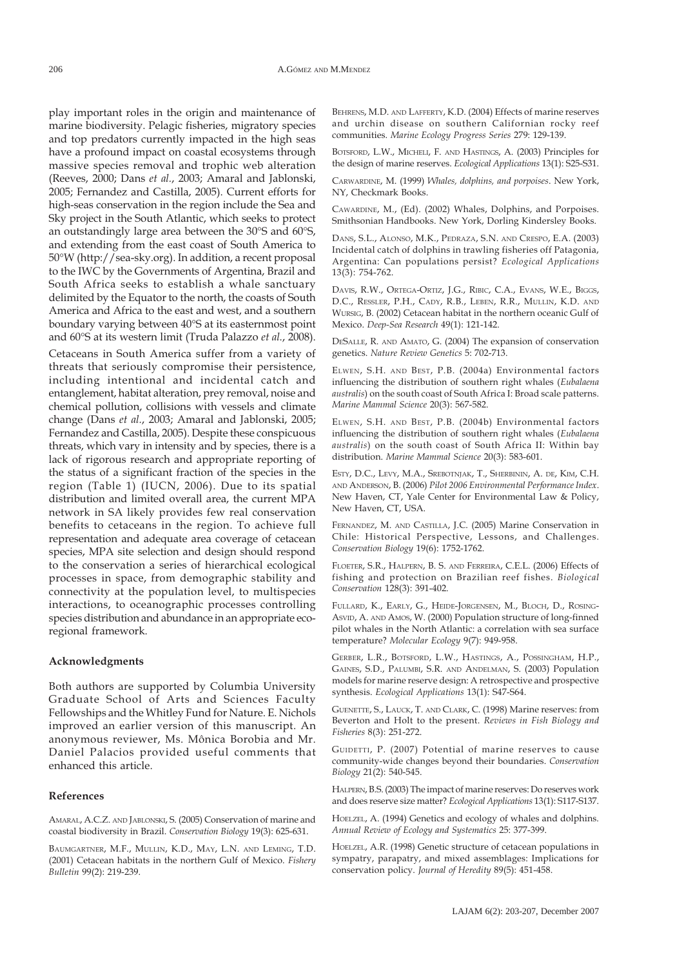play important roles in the origin and maintenance of marine biodiversity. Pelagic fisheries, migratory species and top predators currently impacted in the high seas have a profound impact on coastal ecosystems through massive species removal and trophic web alteration (Reeves, 2000; Dans et al., 2003; Amaral and Jablonski, 2005; Fernandez and Castilla, 2005). Current efforts for high-seas conservation in the region include the Sea and Sky project in the South Atlantic, which seeks to protect an outstandingly large area between the 30°S and 60°S, and extending from the east coast of South America to 50°W (http://sea-sky.org). In addition, a recent proposal to the IWC by the Governments of Argentina, Brazil and South Africa seeks to establish a whale sanctuary delimited by the Equator to the north, the coasts of South America and Africa to the east and west, and a southern boundary varying between 40°S at its easternmost point and 60°S at its western limit (Truda Palazzo et al., 2008).

Cetaceans in South America suffer from a variety of threats that seriously compromise their persistence, including intentional and incidental catch and entanglement, habitat alteration, prey removal, noise and chemical pollution, collisions with vessels and climate change (Dans et al., 2003; Amaral and Jablonski, 2005; Fernandez and Castilla, 2005). Despite these conspicuous threats, which vary in intensity and by species, there is a lack of rigorous research and appropriate reporting of the status of a significant fraction of the species in the region (Table 1) (IUCN, 2006). Due to its spatial distribution and limited overall area, the current MPA network in SA likely provides few real conservation benefits to cetaceans in the region. To achieve full representation and adequate area coverage of cetacean species, MPA site selection and design should respond to the conservation a series of hierarchical ecological processes in space, from demographic stability and connectivity at the population level, to multispecies interactions, to oceanographic processes controlling species distribution and abundance in an appropriate ecoregional framework.

## Acknowledgments

Both authors are supported by Columbia University Graduate School of Arts and Sciences Faculty Fellowships and the Whitley Fund for Nature. E. Nichols improved an earlier version of this manuscript. An anonymous reviewer, Ms. Mônica Borobia and Mr. Daniel Palacios provided useful comments that enhanced this article.

## References

AMARAL, A.C.Z. AND JABLONSKI, S. (2005) Conservation of marine and coastal biodiversity in Brazil. Conservation Biology 19(3): 625-631.

BAUMGARTNER, M.F., MULLIN, K.D., MAY, L.N. AND LEMING, T.D. (2001) Cetacean habitats in the northern Gulf of Mexico. Fishery Bulletin 99(2): 219-239.

BEHRENS, M.D. AND LAFFERTY, K.D. (2004) Effects of marine reserves and urchin disease on southern Californian rocky reef communities. Marine Ecology Progress Series 279: 129-139.

BOTSFORD, L.W., MICHELI, F. AND HASTINGS, A. (2003) Principles for the design of marine reserves. Ecological Applications 13(1): S25-S31.

CARWARDINE, M. (1999) Whales, dolphins, and porpoises. New York, NY, Checkmark Books.

CAWARDINE, M., (Ed). (2002) Whales, Dolphins, and Porpoises. Smithsonian Handbooks. New York, Dorling Kindersley Books.

DANS, S.L., ALONSO, M.K., PEDRAZA, S.N. AND CRESPO, E.A. (2003) Incidental catch of dolphins in trawling fisheries off Patagonia, Argentina: Can populations persist? Ecological Applications 13(3): 754-762.

DAVIS, R.W., ORTEGA-ORTIZ, J.G., RIBIC, C.A., EVANS, W.E., BIGGS, D.C., RESSLER, P.H., CADY, R.B., LEBEN, R.R., MULLIN, K.D. AND WURSIG, B. (2002) Cetacean habitat in the northern oceanic Gulf of Mexico. Deep-Sea Research 49(1): 121-142.

DESALLE, R. AND AMATO, G. (2004) The expansion of conservation genetics. Nature Review Genetics 5: 702-713.

ELWEN, S.H. AND BEST, P.B. (2004a) Environmental factors influencing the distribution of southern right whales (Eubalaena australis) on the south coast of South Africa I: Broad scale patterns. Marine Mammal Science 20(3): 567-582.

ELWEN, S.H. AND BEST, P.B. (2004b) Environmental factors influencing the distribution of southern right whales (Eubalaena australis) on the south coast of South Africa II: Within bay distribution. Marine Mammal Science 20(3): 583-601.

ESTY, D.C., LEVY, M.A., SREBOTNJAK, T., SHERBININ, A. DE, KIM, C.H. AND ANDERSON, B. (2006) Pilot 2006 Environmental Performance Index. New Haven, CT, Yale Center for Environmental Law & Policy, New Haven, CT, USA.

FERNANDEZ, M. AND CASTILLA, J.C. (2005) Marine Conservation in Chile: Historical Perspective, Lessons, and Challenges. Conservation Biology 19(6): 1752-1762.

FLOETER, S.R., HALPERN, B. S. AND FERREIRA, C.E.L. (2006) Effects of fishing and protection on Brazilian reef fishes. Biological Conservation 128(3): 391-402.

FULLARD, K., EARLY, G., HEIDE-JORGENSEN, M., BLOCH, D., ROSING-ASVID, A. AND AMOS, W. (2000) Population structure of long-finned pilot whales in the North Atlantic: a correlation with sea surface temperature? Molecular Ecology 9(7): 949-958.

GERBER, L.R., BOTSFORD, L.W., HASTINGS, A., POSSINGHAM, H.P., GAINES, S.D., PALUMBI, S.R. AND ANDELMAN, S. (2003) Population models for marine reserve design: A retrospective and prospective synthesis. Ecological Applications 13(1): S47-S64.

GUENETTE, S., LAUCK, T. AND CLARK, C. (1998) Marine reserves: from Beverton and Holt to the present. Reviews in Fish Biology and Fisheries 8(3): 251-272.

GUIDETTI, P. (2007) Potential of marine reserves to cause community-wide changes beyond their boundaries. Conservation Biology 21(2): 540-545.

HALPERN, B.S. (2003) The impact of marine reserves: Do reserves work and does reserve size matter? Ecological Applications 13(1): S117-S137.

HOELZEL, A. (1994) Genetics and ecology of whales and dolphins. Annual Review of Ecology and Systematics 25: 377-399.

HOELZEL, A.R. (1998) Genetic structure of cetacean populations in sympatry, parapatry, and mixed assemblages: Implications for conservation policy. Journal of Heredity 89(5): 451-458.